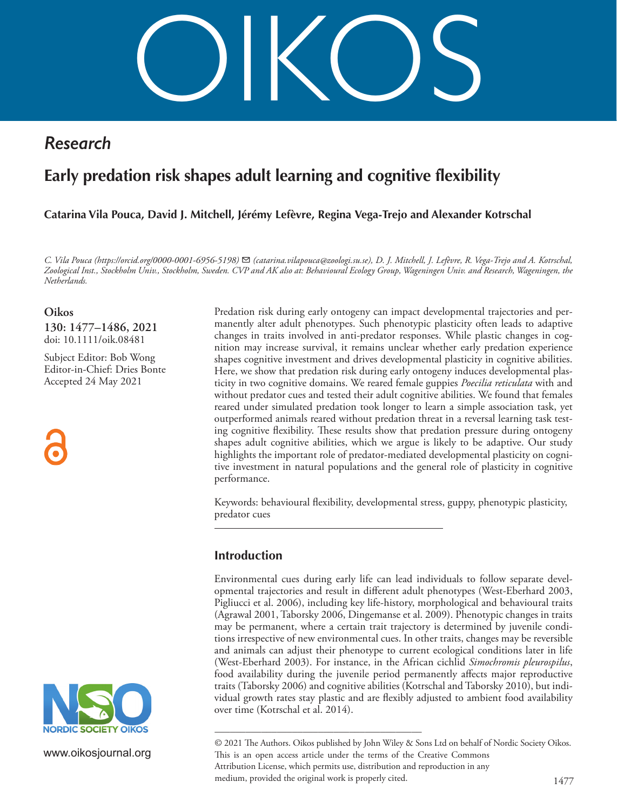OIKOS

# *Research*

# **Early predation risk shapes adult learning and cognitive flexibility**

# **Catarina Vila Pouca, David J. Mitchell, Jérémy Lefèvre, Regina Vega-Trejo and Alexander Kotrschal**

*C. Vila Pouca (https://orcid.org/0000-0001-6956-5198)* ✉ *(catarina.vilapouca@zoologi.su.se), D. J. Mitchell, J. Lefèvre, R. Vega-Trejo and A. Kotrschal, Zoological Inst., Stockholm Univ., Stockholm, Sweden. CVP and AK also at: Behavioural Ecology Group, Wageningen Univ. and Research, Wageningen, the Netherlands.*

## **Oikos**

**130: 1477–1486, 2021** doi: 10.1111/oik.08481

Subject Editor: Bob Wong Editor-in-Chief: Dries Bonte Accepted 24 May 2021





www.oikosjournal.org

Predation risk during early ontogeny can impact developmental trajectories and permanently alter adult phenotypes. Such phenotypic plasticity often leads to adaptive changes in traits involved in anti-predator responses. While plastic changes in cognition may increase survival, it remains unclear whether early predation experience shapes cognitive investment and drives developmental plasticity in cognitive abilities. Here, we show that predation risk during early ontogeny induces developmental plasticity in two cognitive domains. We reared female guppies *Poecilia reticulata* with and without predator cues and tested their adult cognitive abilities. We found that females reared under simulated predation took longer to learn a simple association task, yet outperformed animals reared without predation threat in a reversal learning task testing cognitive flexibility. These results show that predation pressure during ontogeny shapes adult cognitive abilities, which we argue is likely to be adaptive. Our study highlights the important role of predator-mediated developmental plasticity on cognitive investment in natural populations and the general role of plasticity in cognitive performance.

Keywords: behavioural flexibility, developmental stress, guppy, phenotypic plasticity, predator cues

# **Introduction**

Environmental cues during early life can lead individuals to follow separate developmental trajectories and result in different adult phenotypes (West-Eberhard 2003, Pigliucci et al. 2006), including key life-history, morphological and behavioural traits (Agrawal 2001, Taborsky 2006, Dingemanse et al. 2009). Phenotypic changes in traits may be permanent, where a certain trait trajectory is determined by juvenile conditions irrespective of new environmental cues. In other traits, changes may be reversible and animals can adjust their phenotype to current ecological conditions later in life (West-Eberhard 2003). For instance, in the African cichlid *Simochromis pleurospilus*, food availability during the juvenile period permanently affects major reproductive traits (Taborsky 2006) and cognitive abilities (Kotrschal and Taborsky 2010), but individual growth rates stay plastic and are flexibly adjusted to ambient food availability over time (Kotrschal et al. 2014).

1477 –––––––––––––––––––––––––––––––––––––––– © 2021 The Authors. Oikos published by John Wiley & Sons Ltd on behalf of Nordic Society Oikos. This is an open access article under the terms of the Creative Commons Attribution License, which permits use, distribution and reproduction in any medium, provided the original work is properly cited.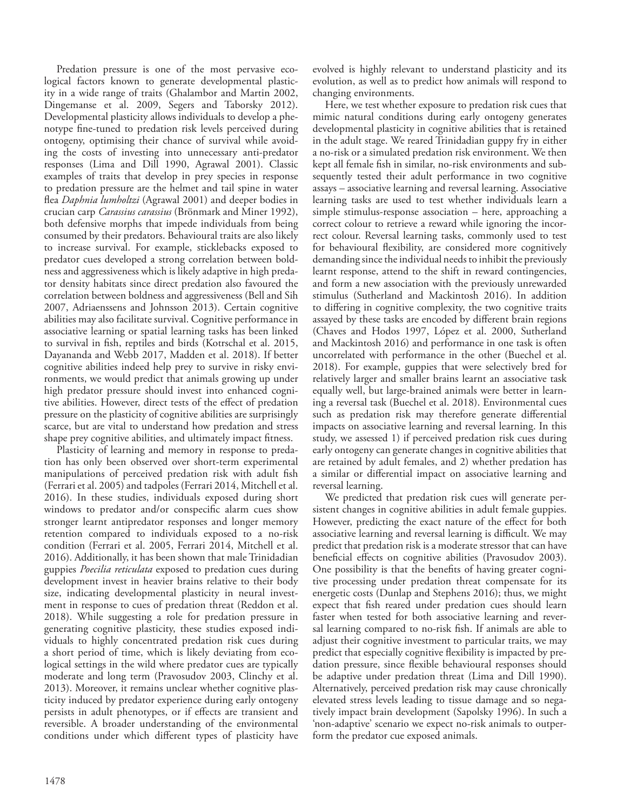Predation pressure is one of the most pervasive ecological factors known to generate developmental plasticity in a wide range of traits (Ghalambor and Martin 2002, Dingemanse et al. 2009, Segers and Taborsky 2012). Developmental plasticity allows individuals to develop a phenotype fine-tuned to predation risk levels perceived during ontogeny, optimising their chance of survival while avoiding the costs of investing into unnecessary anti-predator responses (Lima and Dill 1990, Agrawal 2001). Classic examples of traits that develop in prey species in response to predation pressure are the helmet and tail spine in water flea *Daphnia lumholtzi* (Agrawal 2001) and deeper bodies in crucian carp *Carassius carassius* (Brönmark and Miner 1992), both defensive morphs that impede individuals from being consumed by their predators. Behavioural traits are also likely to increase survival. For example, sticklebacks exposed to predator cues developed a strong correlation between boldness and aggressiveness which is likely adaptive in high predator density habitats since direct predation also favoured the correlation between boldness and aggressiveness (Bell and Sih 2007, Adriaenssens and Johnsson 2013). Certain cognitive abilities may also facilitate survival. Cognitive performance in associative learning or spatial learning tasks has been linked to survival in fish, reptiles and birds (Kotrschal et al. 2015, Dayananda and Webb 2017, Madden et al. 2018). If better cognitive abilities indeed help prey to survive in risky environments, we would predict that animals growing up under high predator pressure should invest into enhanced cognitive abilities. However, direct tests of the effect of predation pressure on the plasticity of cognitive abilities are surprisingly scarce, but are vital to understand how predation and stress shape prey cognitive abilities, and ultimately impact fitness.

Plasticity of learning and memory in response to predation has only been observed over short-term experimental manipulations of perceived predation risk with adult fish (Ferrari et al. 2005) and tadpoles (Ferrari 2014, Mitchell et al. 2016). In these studies, individuals exposed during short windows to predator and/or conspecific alarm cues show stronger learnt antipredator responses and longer memory retention compared to individuals exposed to a no-risk condition (Ferrari et al. 2005, Ferrari 2014, Mitchell et al. 2016). Additionally, it has been shown that male Trinidadian guppies *Poecilia reticulata* exposed to predation cues during development invest in heavier brains relative to their body size, indicating developmental plasticity in neural investment in response to cues of predation threat (Reddon et al. 2018). While suggesting a role for predation pressure in generating cognitive plasticity, these studies exposed individuals to highly concentrated predation risk cues during a short period of time, which is likely deviating from ecological settings in the wild where predator cues are typically moderate and long term (Pravosudov 2003, Clinchy et al. 2013). Moreover, it remains unclear whether cognitive plasticity induced by predator experience during early ontogeny persists in adult phenotypes, or if effects are transient and reversible. A broader understanding of the environmental conditions under which different types of plasticity have

evolved is highly relevant to understand plasticity and its evolution, as well as to predict how animals will respond to changing environments.

Here, we test whether exposure to predation risk cues that mimic natural conditions during early ontogeny generates developmental plasticity in cognitive abilities that is retained in the adult stage. We reared Trinidadian guppy fry in either a no-risk or a simulated predation risk environment. We then kept all female fish in similar, no-risk environments and subsequently tested their adult performance in two cognitive assays – associative learning and reversal learning. Associative learning tasks are used to test whether individuals learn a simple stimulus-response association – here, approaching a correct colour to retrieve a reward while ignoring the incorrect colour. Reversal learning tasks, commonly used to test for behavioural flexibility, are considered more cognitively demanding since the individual needs to inhibit the previously learnt response, attend to the shift in reward contingencies, and form a new association with the previously unrewarded stimulus (Sutherland and Mackintosh 2016). In addition to differing in cognitive complexity, the two cognitive traits assayed by these tasks are encoded by different brain regions (Chaves and Hodos 1997, López et al. 2000, Sutherland and Mackintosh 2016) and performance in one task is often uncorrelated with performance in the other (Buechel et al. 2018). For example, guppies that were selectively bred for relatively larger and smaller brains learnt an associative task equally well, but large-brained animals were better in learning a reversal task (Buechel et al. 2018). Environmental cues such as predation risk may therefore generate differential impacts on associative learning and reversal learning. In this study, we assessed 1) if perceived predation risk cues during early ontogeny can generate changes in cognitive abilities that are retained by adult females, and 2) whether predation has a similar or differential impact on associative learning and reversal learning.

We predicted that predation risk cues will generate persistent changes in cognitive abilities in adult female guppies. However, predicting the exact nature of the effect for both associative learning and reversal learning is difficult. We may predict that predation risk is a moderate stressor that can have beneficial effects on cognitive abilities (Pravosudov 2003). One possibility is that the benefits of having greater cognitive processing under predation threat compensate for its energetic costs (Dunlap and Stephens 2016); thus, we might expect that fish reared under predation cues should learn faster when tested for both associative learning and reversal learning compared to no-risk fish. If animals are able to adjust their cognitive investment to particular traits, we may predict that especially cognitive flexibility is impacted by predation pressure, since flexible behavioural responses should be adaptive under predation threat (Lima and Dill 1990). Alternatively, perceived predation risk may cause chronically elevated stress levels leading to tissue damage and so negatively impact brain development (Sapolsky 1996). In such a 'non-adaptive' scenario we expect no-risk animals to outperform the predator cue exposed animals.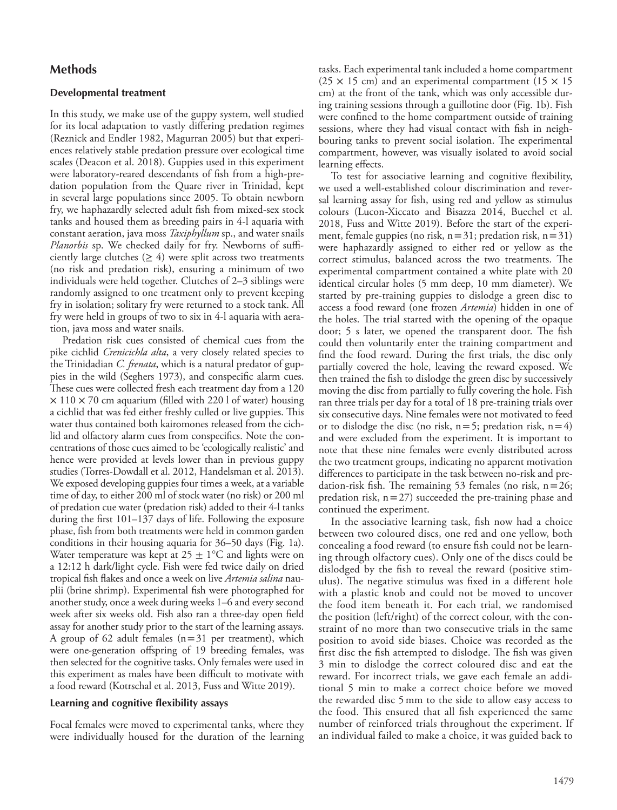# **Methods**

#### **Developmental treatment**

In this study, we make use of the guppy system, well studied for its local adaptation to vastly differing predation regimes (Reznick and Endler 1982, Magurran 2005) but that experiences relatively stable predation pressure over ecological time scales (Deacon et al. 2018). Guppies used in this experiment were laboratory-reared descendants of fish from a high-predation population from the Quare river in Trinidad, kept in several large populations since 2005. To obtain newborn fry, we haphazardly selected adult fish from mixed-sex stock tanks and housed them as breeding pairs in 4-l aquaria with constant aeration, java moss *Taxiphyllum* sp., and water snails *Planorbis* sp. We checked daily for fry. Newborns of sufficiently large clutches  $(≥ 4)$  were split across two treatments (no risk and predation risk), ensuring a minimum of two individuals were held together. Clutches of 2–3 siblings were randomly assigned to one treatment only to prevent keeping fry in isolation; solitary fry were returned to a stock tank. All fry were held in groups of two to six in 4-l aquaria with aeration, java moss and water snails.

Predation risk cues consisted of chemical cues from the pike cichlid *Crenicichla alta*, a very closely related species to the Trinidadian *C. frenata*, which is a natural predator of guppies in the wild (Seghers 1973), and conspecific alarm cues. These cues were collected fresh each treatment day from a 120  $\times$  110  $\times$  70 cm aquarium (filled with 220 l of water) housing a cichlid that was fed either freshly culled or live guppies. This water thus contained both kairomones released from the cichlid and olfactory alarm cues from conspecifics. Note the concentrations of those cues aimed to be 'ecologically realistic' and hence were provided at levels lower than in previous guppy studies (Torres-Dowdall et al. 2012, Handelsman et al. 2013). We exposed developing guppies four times a week, at a variable time of day, to either 200 ml of stock water (no risk) or 200 ml of predation cue water (predation risk) added to their 4-l tanks during the first 101–137 days of life. Following the exposure phase, fish from both treatments were held in common garden conditions in their housing aquaria for 36–50 days (Fig. 1a). Water temperature was kept at  $25 \pm 1$ °C and lights were on a 12:12 h dark/light cycle. Fish were fed twice daily on dried tropical fish flakes and once a week on live *Artemia salina* nauplii (brine shrimp). Experimental fish were photographed for another study, once a week during weeks 1–6 and every second week after six weeks old. Fish also ran a three-day open field assay for another study prior to the start of the learning assays. A group of 62 adult females  $(n=31$  per treatment), which were one-generation offspring of 19 breeding females, was then selected for the cognitive tasks. Only females were used in this experiment as males have been difficult to motivate with a food reward (Kotrschal et al. 2013, Fuss and Witte 2019).

#### **Learning and cognitive flexibility assays**

Focal females were moved to experimental tanks, where they were individually housed for the duration of the learning tasks. Each experimental tank included a home compartment  $(25 \times 15$  cm) and an experimental compartment  $(15 \times 15)$ cm) at the front of the tank, which was only accessible during training sessions through a guillotine door (Fig. 1b). Fish were confined to the home compartment outside of training sessions, where they had visual contact with fish in neighbouring tanks to prevent social isolation. The experimental compartment, however, was visually isolated to avoid social learning effects.

To test for associative learning and cognitive flexibility, we used a well-established colour discrimination and reversal learning assay for fish, using red and yellow as stimulus colours (Lucon-Xiccato and Bisazza 2014, Buechel et al. 2018, Fuss and Witte 2019). Before the start of the experiment, female guppies (no risk,  $n=31$ ; predation risk,  $n=31$ ) were haphazardly assigned to either red or yellow as the correct stimulus, balanced across the two treatments. The experimental compartment contained a white plate with 20 identical circular holes (5 mm deep, 10 mm diameter). We started by pre-training guppies to dislodge a green disc to access a food reward (one frozen *Artemia*) hidden in one of the holes. The trial started with the opening of the opaque door; 5 s later, we opened the transparent door. The fish could then voluntarily enter the training compartment and find the food reward. During the first trials, the disc only partially covered the hole, leaving the reward exposed. We then trained the fish to dislodge the green disc by successively moving the disc from partially to fully covering the hole. Fish ran three trials per day for a total of 18 pre-training trials over six consecutive days. Nine females were not motivated to feed or to dislodge the disc (no risk,  $n=5$ ; predation risk,  $n=4$ ) and were excluded from the experiment. It is important to note that these nine females were evenly distributed across the two treatment groups, indicating no apparent motivation differences to participate in the task between no-risk and predation-risk fish. The remaining 53 females (no risk,  $n=26$ ; predation risk,  $n=27$ ) succeeded the pre-training phase and continued the experiment.

In the associative learning task, fish now had a choice between two coloured discs, one red and one yellow, both concealing a food reward (to ensure fish could not be learning through olfactory cues). Only one of the discs could be dislodged by the fish to reveal the reward (positive stimulus). The negative stimulus was fixed in a different hole with a plastic knob and could not be moved to uncover the food item beneath it. For each trial, we randomised the position (left/right) of the correct colour, with the constraint of no more than two consecutive trials in the same position to avoid side biases. Choice was recorded as the first disc the fish attempted to dislodge. The fish was given 3 min to dislodge the correct coloured disc and eat the reward. For incorrect trials, we gave each female an additional 5 min to make a correct choice before we moved the rewarded disc 5mm to the side to allow easy access to the food. This ensured that all fish experienced the same number of reinforced trials throughout the experiment. If an individual failed to make a choice, it was guided back to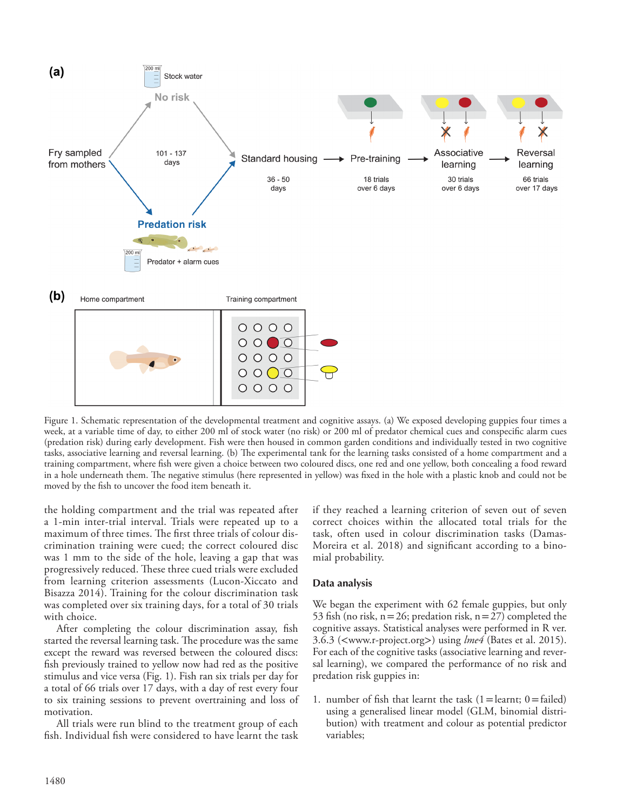

Figure 1. Schematic representation of the developmental treatment and cognitive assays. (a) We exposed developing guppies four times a week, at a variable time of day, to either 200 ml of stock water (no risk) or 200 ml of predator chemical cues and conspecific alarm cues (predation risk) during early development. Fish were then housed in common garden conditions and individually tested in two cognitive tasks, associative learning and reversal learning. (b) The experimental tank for the learning tasks consisted of a home compartment and a training compartment, where fish were given a choice between two coloured discs, one red and one yellow, both concealing a food reward in a hole underneath them. The negative stimulus (here represented in yellow) was fixed in the hole with a plastic knob and could not be moved by the fish to uncover the food item beneath it.

the holding compartment and the trial was repeated after a 1-min inter-trial interval. Trials were repeated up to a maximum of three times. The first three trials of colour discrimination training were cued; the correct coloured disc was 1 mm to the side of the hole, leaving a gap that was progressively reduced. These three cued trials were excluded from learning criterion assessments (Lucon-Xiccato and Bisazza 2014). Training for the colour discrimination task was completed over six training days, for a total of 30 trials with choice.

After completing the colour discrimination assay, fish started the reversal learning task. The procedure was the same except the reward was reversed between the coloured discs: fish previously trained to yellow now had red as the positive stimulus and vice versa (Fig. 1). Fish ran six trials per day for a total of 66 trials over 17 days, with a day of rest every four to six training sessions to prevent overtraining and loss of motivation.

All trials were run blind to the treatment group of each fish. Individual fish were considered to have learnt the task if they reached a learning criterion of seven out of seven correct choices within the allocated total trials for the task, often used in colour discrimination tasks (Damas-Moreira et al. 2018) and significant according to a binomial probability.

## **Data analysis**

We began the experiment with 62 female guppies, but only 53 fish (no risk,  $n=26$ ; predation risk,  $n=27$ ) completed the cognitive assays. Statistical analyses were performed in R ver. 3.6.3 (<www.r-project.org>) using *lme4* (Bates et al. 2015). For each of the cognitive tasks (associative learning and reversal learning), we compared the performance of no risk and predation risk guppies in:

1. number of fish that learnt the task  $(1=$  learnt; 0 = failed) using a generalised linear model (GLM, binomial distribution) with treatment and colour as potential predictor variables;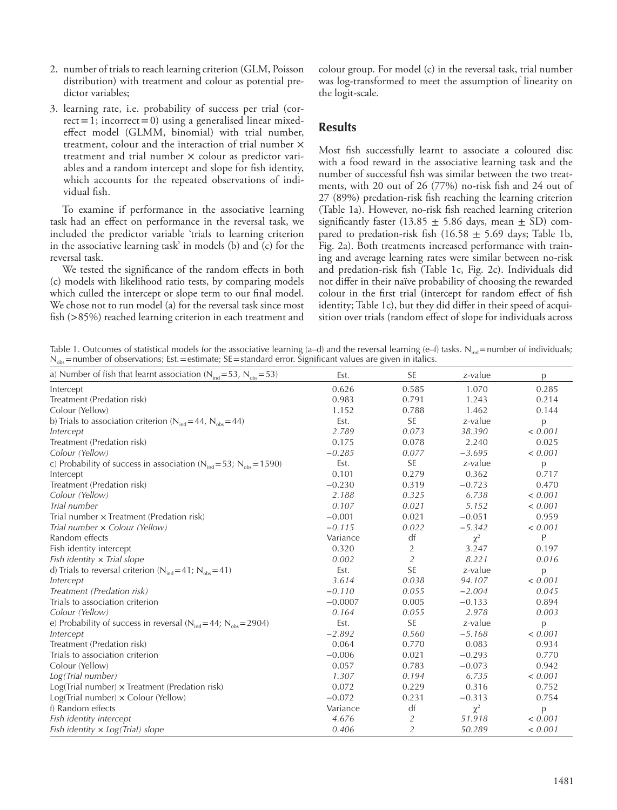- 2. number of trials to reach learning criterion (GLM, Poisson distribution) with treatment and colour as potential predictor variables;
- 3. learning rate, i.e. probability of success per trial (cor $rect = 1$ ; incorrect = 0) using a generalised linear mixedeffect model (GLMM, binomial) with trial number, treatment, colour and the interaction of trial number × treatment and trial number × colour as predictor variables and a random intercept and slope for fish identity, which accounts for the repeated observations of individual fish.

To examine if performance in the associative learning task had an effect on performance in the reversal task, we included the predictor variable 'trials to learning criterion in the associative learning task' in models (b) and (c) for the reversal task.

We tested the significance of the random effects in both (c) models with likelihood ratio tests, by comparing models which culled the intercept or slope term to our final model. We chose not to run model (a) for the reversal task since most fish (>85%) reached learning criterion in each treatment and colour group. For model (c) in the reversal task, trial number was log-transformed to meet the assumption of linearity on the logit-scale.

# **Results**

Most fish successfully learnt to associate a coloured disc with a food reward in the associative learning task and the number of successful fish was similar between the two treatments, with 20 out of 26 (77%) no-risk fish and 24 out of 27 (89%) predation-risk fish reaching the learning criterion (Table 1a). However, no-risk fish reached learning criterion significantly faster (13.85  $\pm$  5.86 days, mean  $\pm$  SD) compared to predation-risk fish  $(16.58 \pm 5.69)$  days; Table 1b, Fig. 2a). Both treatments increased performance with training and average learning rates were similar between no-risk and predation-risk fish (Table 1c, Fig. 2c). Individuals did not differ in their naïve probability of choosing the rewarded colour in the first trial (intercept for random effect of fish identity; Table 1c), but they did differ in their speed of acquisition over trials (random effect of slope for individuals across

Table 1. Outcomes of statistical models for the associative learning (a–d) and the reversal learning (e–f) tasks. N<sub>ind</sub>=number of individuals;  $N_{obs}$ =number of observations; Est. = estimate; SE = standard error. Significant values are given in italics.

| a) Number of fish that learnt association ( $N_{ind} = 53$ , $N_{obs} = 53$ ) | Est.      | <b>SE</b>      | z-value  | p       |
|-------------------------------------------------------------------------------|-----------|----------------|----------|---------|
| Intercept                                                                     | 0.626     | 0.585          | 1.070    | 0.285   |
| Treatment (Predation risk)                                                    | 0.983     | 0.791          | 1.243    | 0.214   |
| Colour (Yellow)                                                               | 1.152     | 0.788          | 1.462    | 0.144   |
| b) Trials to association criterion ( $N_{ind}$ =44, $N_{obs}$ =44)            | Est.      | SE             | z-value  | p       |
| Intercept                                                                     | 2.789     | 0.073          | 38.390   | < 0.001 |
| Treatment (Predation risk)                                                    | 0.175     | 0.078          | 2.240    | 0.025   |
| Colour (Yellow)                                                               | $-0.285$  | 0.077          | $-3.695$ | < 0.001 |
| c) Probability of success in association ( $N_{ind}$ =53; $N_{obs}$ =1590)    | Est.      | <b>SE</b>      | z-value  | p       |
| Intercept                                                                     | 0.101     | 0.279          | 0.362    | 0.717   |
| Treatment (Predation risk)                                                    | $-0.230$  | 0.319          | $-0.723$ | 0.470   |
| Colour (Yellow)                                                               | 2.188     | 0.325          | 6.738    | < 0.001 |
| Trial number                                                                  | 0.107     | 0.021          | 5.152    | < 0.001 |
| Trial number x Treatment (Predation risk)                                     | $-0.001$  | 0.021          | $-0.051$ | 0.959   |
| Trial number x Colour (Yellow)                                                | $-0.115$  | 0.022          | $-5.342$ | < 0.001 |
| Random effects                                                                | Variance  | df             | $\chi^2$ | P       |
| Fish identity intercept                                                       | 0.320     | $\overline{2}$ | 3.247    | 0.197   |
| Fish identity $\times$ Trial slope                                            | 0.002     | $\overline{2}$ | 8.221    | 0.016   |
| d) Trials to reversal criterion ( $N_{ind}$ =41; $N_{obs}$ =41)               | Est.      | <b>SE</b>      | z-value  | p       |
| Intercept                                                                     | 3.614     | 0.038          | 94.107   | < 0.001 |
| Treatment (Predation risk)                                                    | $-0.110$  | 0.055          | $-2.004$ | 0.045   |
| Trials to association criterion                                               | $-0.0007$ | 0.005          | $-0.133$ | 0.894   |
| Colour (Yellow)                                                               | 0.164     | 0.055          | 2.978    | 0.003   |
| e) Probability of success in reversal ( $N_{ind} = 44$ ; $N_{obs} = 2904$ )   | Est.      | <b>SE</b>      | z-value  | p       |
| Intercept                                                                     | $-2.892$  | 0.560          | $-5.168$ | < 0.001 |
| Treatment (Predation risk)                                                    | 0.064     | 0.770          | 0.083    | 0.934   |
| Trials to association criterion                                               | $-0.006$  | 0.021          | $-0.293$ | 0.770   |
| Colour (Yellow)                                                               | 0.057     | 0.783          | $-0.073$ | 0.942   |
| Log(Trial number)                                                             | 1.307     | 0.194          | 6.735    | < 0.001 |
| $Log(Trial number) \times Treatment$ (Predation risk)                         | 0.072     | 0.229          | 0.316    | 0.752   |
| $Log(Trial number) \times Color$ (Yellow)                                     | $-0.072$  | 0.231          | $-0.313$ | 0.754   |
| f) Random effects                                                             | Variance  | df             | $\chi^2$ | p       |
| Fish identity intercept                                                       | 4.676     | $\mathfrak{2}$ | 51.918   | < 0.001 |
| Fish identity $\times$ Log(Trial) slope                                       | 0.406     | $\overline{2}$ | 50.289   | < 0.001 |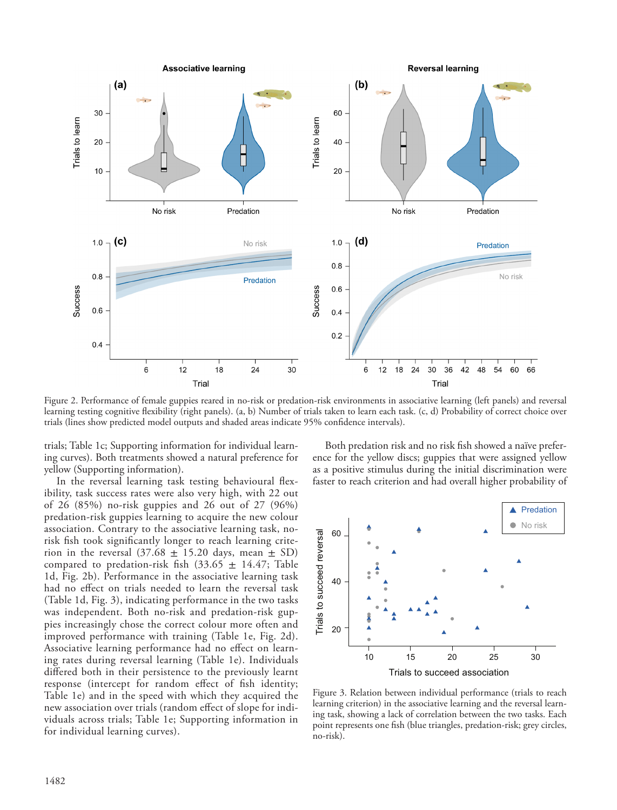

Figure 2. Performance of female guppies reared in no-risk or predation-risk environments in associative learning (left panels) and reversal learning testing cognitive flexibility (right panels). (a, b) Number of trials taken to learn each task. (c, d) Probability of correct choice over trials (lines show predicted model outputs and shaded areas indicate 95% confidence intervals).

trials; Table 1c; Supporting information for individual learning curves). Both treatments showed a natural preference for yellow (Supporting information).

In the reversal learning task testing behavioural flexibility, task success rates were also very high, with 22 out of 26 (85%) no-risk guppies and 26 out of 27 (96%) predation-risk guppies learning to acquire the new colour association. Contrary to the associative learning task, norisk fish took significantly longer to reach learning criterion in the reversal  $(37.68 \pm 15.20 \text{ days}, \text{mean } \pm \text{ SD})$ compared to predation-risk fish (33.65  $\pm$  14.47; Table 1d, Fig. 2b). Performance in the associative learning task had no effect on trials needed to learn the reversal task (Table 1d, Fig. 3), indicating performance in the two tasks was independent. Both no-risk and predation-risk guppies increasingly chose the correct colour more often and improved performance with training (Table 1e, Fig. 2d). Associative learning performance had no effect on learning rates during reversal learning (Table 1e). Individuals differed both in their persistence to the previously learnt response (intercept for random effect of fish identity; Table 1e) and in the speed with which they acquired the new association over trials (random effect of slope for individuals across trials; Table 1e; Supporting information in for individual learning curves).

Both predation risk and no risk fish showed a naïve preference for the yellow discs; guppies that were assigned yellow as a positive stimulus during the initial discrimination were faster to reach criterion and had overall higher probability of



Figure 3. Relation between individual performance (trials to reach learning criterion) in the associative learning and the reversal learning task, showing a lack of correlation between the two tasks. Each point represents one fish (blue triangles, predation-risk; grey circles, no-risk).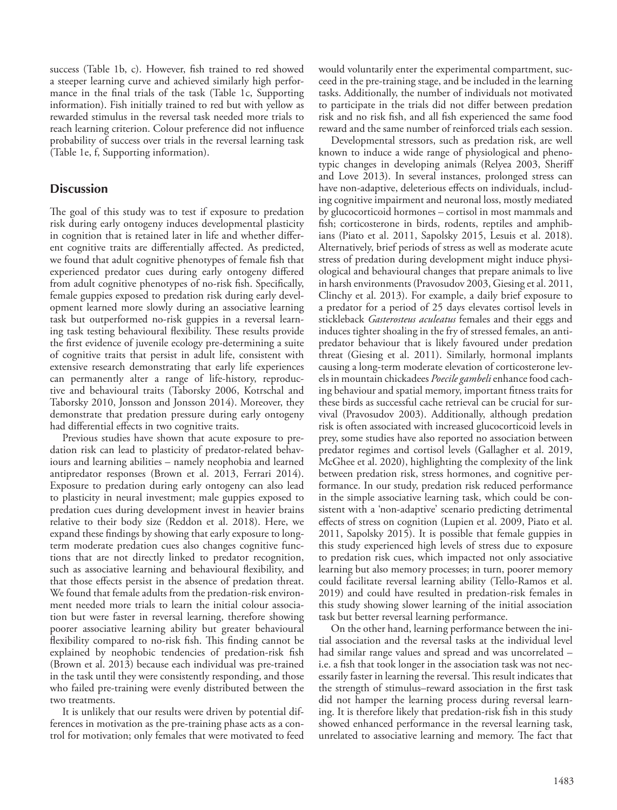success (Table 1b, c). However, fish trained to red showed a steeper learning curve and achieved similarly high performance in the final trials of the task (Table 1c, Supporting information). Fish initially trained to red but with yellow as rewarded stimulus in the reversal task needed more trials to reach learning criterion. Colour preference did not influence probability of success over trials in the reversal learning task (Table 1e, f, Supporting information).

# **Discussion**

The goal of this study was to test if exposure to predation risk during early ontogeny induces developmental plasticity in cognition that is retained later in life and whether different cognitive traits are differentially affected. As predicted, we found that adult cognitive phenotypes of female fish that experienced predator cues during early ontogeny differed from adult cognitive phenotypes of no-risk fish. Specifically, female guppies exposed to predation risk during early development learned more slowly during an associative learning task but outperformed no-risk guppies in a reversal learning task testing behavioural flexibility. These results provide the first evidence of juvenile ecology pre-determining a suite of cognitive traits that persist in adult life, consistent with extensive research demonstrating that early life experiences can permanently alter a range of life-history, reproductive and behavioural traits (Taborsky 2006, Kotrschal and Taborsky 2010, Jonsson and Jonsson 2014). Moreover, they demonstrate that predation pressure during early ontogeny had differential effects in two cognitive traits.

Previous studies have shown that acute exposure to predation risk can lead to plasticity of predator-related behaviours and learning abilities – namely neophobia and learned antipredator responses (Brown et al. 2013, Ferrari 2014). Exposure to predation during early ontogeny can also lead to plasticity in neural investment; male guppies exposed to predation cues during development invest in heavier brains relative to their body size (Reddon et al. 2018). Here, we expand these findings by showing that early exposure to longterm moderate predation cues also changes cognitive functions that are not directly linked to predator recognition, such as associative learning and behavioural flexibility, and that those effects persist in the absence of predation threat. We found that female adults from the predation-risk environment needed more trials to learn the initial colour association but were faster in reversal learning, therefore showing poorer associative learning ability but greater behavioural flexibility compared to no-risk fish. This finding cannot be explained by neophobic tendencies of predation-risk fish (Brown et al. 2013) because each individual was pre-trained in the task until they were consistently responding, and those who failed pre-training were evenly distributed between the two treatments.

It is unlikely that our results were driven by potential differences in motivation as the pre-training phase acts as a control for motivation; only females that were motivated to feed would voluntarily enter the experimental compartment, succeed in the pre-training stage, and be included in the learning tasks. Additionally, the number of individuals not motivated to participate in the trials did not differ between predation risk and no risk fish, and all fish experienced the same food reward and the same number of reinforced trials each session.

Developmental stressors, such as predation risk, are well known to induce a wide range of physiological and phenotypic changes in developing animals (Relyea 2003, Sheriff and Love 2013). In several instances, prolonged stress can have non-adaptive, deleterious effects on individuals, including cognitive impairment and neuronal loss, mostly mediated by glucocorticoid hormones – cortisol in most mammals and fish; corticosterone in birds, rodents, reptiles and amphibians (Piato et al. 2011, Sapolsky 2015, Lesuis et al. 2018). Alternatively, brief periods of stress as well as moderate acute stress of predation during development might induce physiological and behavioural changes that prepare animals to live in harsh environments (Pravosudov 2003, Giesing et al. 2011, Clinchy et al. 2013). For example, a daily brief exposure to a predator for a period of 25 days elevates cortisol levels in stickleback *Gasterosteus aculeatus* females and their eggs and induces tighter shoaling in the fry of stressed females, an antipredator behaviour that is likely favoured under predation threat (Giesing et al. 2011). Similarly, hormonal implants causing a long-term moderate elevation of corticosterone levels in mountain chickadees *Poecile gambeli* enhance food caching behaviour and spatial memory, important fitness traits for these birds as successful cache retrieval can be crucial for survival (Pravosudov 2003). Additionally, although predation risk is often associated with increased glucocorticoid levels in prey, some studies have also reported no association between predator regimes and cortisol levels (Gallagher et al. 2019, McGhee et al. 2020), highlighting the complexity of the link between predation risk, stress hormones, and cognitive performance. In our study, predation risk reduced performance in the simple associative learning task, which could be consistent with a 'non-adaptive' scenario predicting detrimental effects of stress on cognition (Lupien et al. 2009, Piato et al. 2011, Sapolsky 2015). It is possible that female guppies in this study experienced high levels of stress due to exposure to predation risk cues, which impacted not only associative learning but also memory processes; in turn, poorer memory could facilitate reversal learning ability (Tello-Ramos et al. 2019) and could have resulted in predation-risk females in this study showing slower learning of the initial association task but better reversal learning performance.

On the other hand, learning performance between the initial association and the reversal tasks at the individual level had similar range values and spread and was uncorrelated – i.e. a fish that took longer in the association task was not necessarily faster in learning the reversal. This result indicates that the strength of stimulus–reward association in the first task did not hamper the learning process during reversal learning. It is therefore likely that predation-risk fish in this study showed enhanced performance in the reversal learning task, unrelated to associative learning and memory. The fact that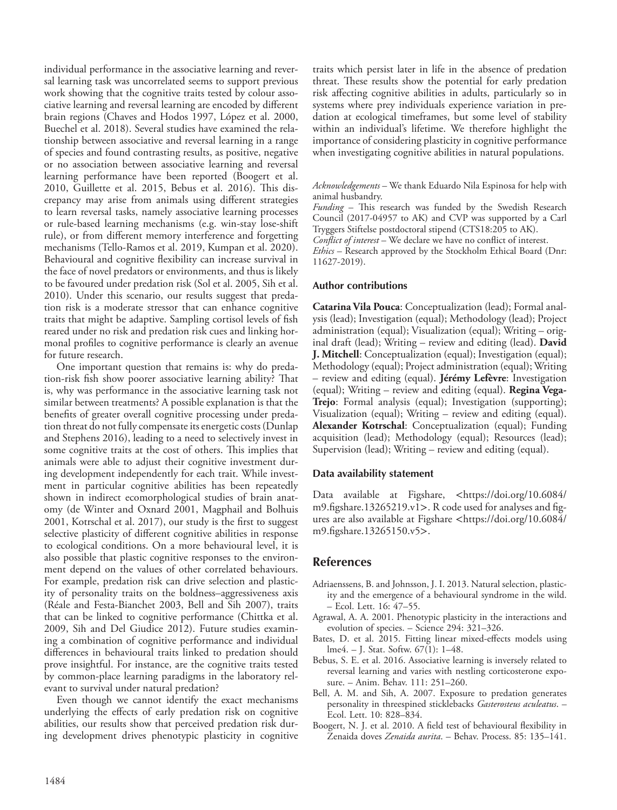individual performance in the associative learning and reversal learning task was uncorrelated seems to support previous work showing that the cognitive traits tested by colour associative learning and reversal learning are encoded by different brain regions (Chaves and Hodos 1997, López et al. 2000, Buechel et al. 2018). Several studies have examined the relationship between associative and reversal learning in a range of species and found contrasting results, as positive, negative or no association between associative learning and reversal learning performance have been reported (Boogert et al. 2010, Guillette et al. 2015, Bebus et al. 2016). This discrepancy may arise from animals using different strategies to learn reversal tasks, namely associative learning processes or rule-based learning mechanisms (e.g. win-stay lose-shift rule), or from different memory interference and forgetting mechanisms (Tello-Ramos et al. 2019, Kumpan et al. 2020). Behavioural and cognitive flexibility can increase survival in the face of novel predators or environments, and thus is likely to be favoured under predation risk (Sol et al. 2005, Sih et al. 2010). Under this scenario, our results suggest that predation risk is a moderate stressor that can enhance cognitive traits that might be adaptive. Sampling cortisol levels of fish reared under no risk and predation risk cues and linking hormonal profiles to cognitive performance is clearly an avenue for future research.

One important question that remains is: why do predation-risk fish show poorer associative learning ability? That is, why was performance in the associative learning task not similar between treatments? A possible explanation is that the benefits of greater overall cognitive processing under predation threat do not fully compensate its energetic costs (Dunlap and Stephens 2016), leading to a need to selectively invest in some cognitive traits at the cost of others. This implies that animals were able to adjust their cognitive investment during development independently for each trait. While investment in particular cognitive abilities has been repeatedly shown in indirect ecomorphological studies of brain anatomy (de Winter and Oxnard 2001, Magphail and Bolhuis 2001, Kotrschal et al. 2017), our study is the first to suggest selective plasticity of different cognitive abilities in response to ecological conditions. On a more behavioural level, it is also possible that plastic cognitive responses to the environment depend on the values of other correlated behaviours. For example, predation risk can drive selection and plasticity of personality traits on the boldness–aggressiveness axis (Réale and Festa-Bianchet 2003, Bell and Sih 2007), traits that can be linked to cognitive performance (Chittka et al. 2009, Sih and Del Giudice 2012). Future studies examining a combination of cognitive performance and individual differences in behavioural traits linked to predation should prove insightful. For instance, are the cognitive traits tested by common-place learning paradigms in the laboratory relevant to survival under natural predation?

Even though we cannot identify the exact mechanisms underlying the effects of early predation risk on cognitive abilities, our results show that perceived predation risk during development drives phenotypic plasticity in cognitive

traits which persist later in life in the absence of predation threat. These results show the potential for early predation risk affecting cognitive abilities in adults, particularly so in systems where prey individuals experience variation in predation at ecological timeframes, but some level of stability within an individual's lifetime. We therefore highlight the importance of considering plasticity in cognitive performance when investigating cognitive abilities in natural populations.

*Acknowledgements* – We thank Eduardo Nila Espinosa for help with animal husbandry.

*Funding* – This research was funded by the Swedish Research Council (2017-04957 to AK) and CVP was supported by a Carl Tryggers Stiftelse postdoctoral stipend (CTS18:205 to AK).

*Conflict of interest* – We declare we have no conflict of interest.

*Ethics* – Research approved by the Stockholm Ethical Board (Dnr: 11627-2019).

## **Author contributions**

**Catarina Vila Pouca**: Conceptualization (lead); Formal analysis (lead); Investigation (equal); Methodology (lead); Project administration (equal); Visualization (equal); Writing – original draft (lead); Writing – review and editing (lead). **David J. Mitchell**: Conceptualization (equal); Investigation (equal); Methodology (equal); Project administration (equal); Writing – review and editing (equal). **Jérémy Lefèvre**: Investigation (equal); Writing – review and editing (equal). **Regina Vega-Trejo**: Formal analysis (equal); Investigation (supporting); Visualization (equal); Writing – review and editing (equal). **Alexander Kotrschal**: Conceptualization (equal); Funding acquisition (lead); Methodology (equal); Resources (lead); Supervision (lead); Writing – review and editing (equal).

#### **Data availability statement**

Data available at Figshare, <https://doi.org/10.6084/ m9.figshare.13265219.v1>. R code used for analyses and figures are also available at Figshare <https://doi.org/10.6084/ m9.figshare.13265150.v5>.

## **References**

- Adriaenssens, B. and Johnsson, J. I. 2013. Natural selection, plasticity and the emergence of a behavioural syndrome in the wild. – Ecol. Lett. 16: 47–55.
- Agrawal, A. A. 2001. Phenotypic plasticity in the interactions and evolution of species. – Science 294: 321–326.
- Bates, D. et al. 2015. Fitting linear mixed-effects models using lme4. – J. Stat. Softw. 67(1): 1–48.
- Bebus, S. E. et al. 2016. Associative learning is inversely related to reversal learning and varies with nestling corticosterone exposure. – Anim. Behav. 111: 251–260.
- Bell, A. M. and Sih, A. 2007. Exposure to predation generates personality in threespined sticklebacks *Gasterosteus aculeatus*. – Ecol. Lett. 10: 828–834.
- Boogert, N. J. et al. 2010. A field test of behavioural flexibility in Zenaida doves *Zenaida aurita*. – Behav. Process. 85: 135–141.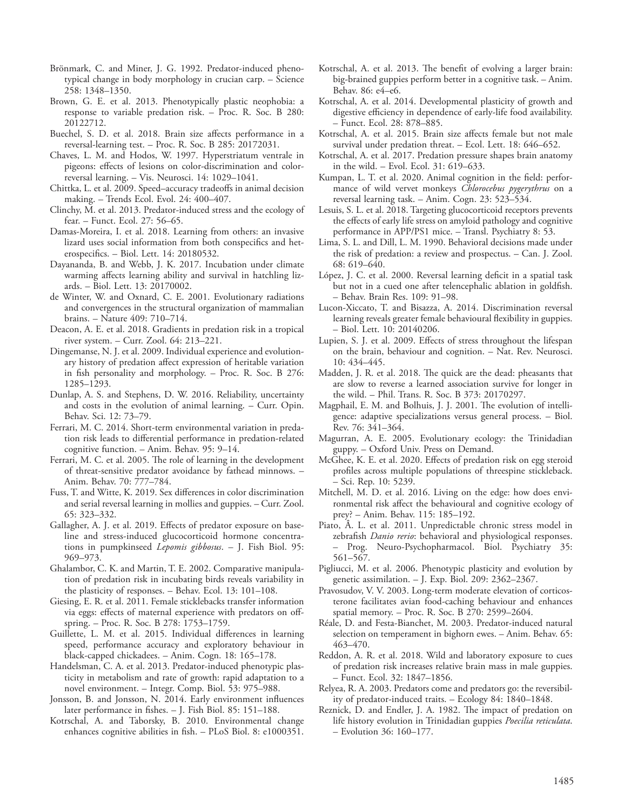- Brönmark, C. and Miner, J. G. 1992. Predator-induced phenotypical change in body morphology in crucian carp. – Science 258: 1348–1350.
- Brown, G. E. et al. 2013. Phenotypically plastic neophobia: a response to variable predation risk. – Proc. R. Soc. B 280: 20122712.
- Buechel, S. D. et al. 2018. Brain size affects performance in a reversal-learning test. – Proc. R. Soc. B 285: 20172031.
- Chaves, L. M. and Hodos, W. 1997. Hyperstriatum ventrale in pigeons: effects of lesions on color-discrimination and colorreversal learning. – Vis. Neurosci. 14: 1029–1041.
- Chittka, L. et al. 2009. Speed–accuracy tradeoffs in animal decision making. – Trends Ecol. Evol. 24: 400–407.
- Clinchy, M. et al. 2013. Predator-induced stress and the ecology of fear. – Funct. Ecol. 27: 56–65.
- Damas-Moreira, I. et al. 2018. Learning from others: an invasive lizard uses social information from both conspecifics and heterospecifics. – Biol. Lett. 14: 20180532.
- Dayananda, B. and Webb, J. K. 2017. Incubation under climate warming affects learning ability and survival in hatchling lizards. – Biol. Lett. 13: 20170002.
- de Winter, W. and Oxnard, C. E. 2001. Evolutionary radiations and convergences in the structural organization of mammalian brains. – Nature 409: 710–714.
- Deacon, A. E. et al. 2018. Gradients in predation risk in a tropical river system. – Curr. Zool. 64: 213–221.
- Dingemanse, N. J. et al. 2009. Individual experience and evolutionary history of predation affect expression of heritable variation in fish personality and morphology. – Proc. R. Soc. B 276: 1285–1293.
- Dunlap, A. S. and Stephens, D. W. 2016. Reliability, uncertainty and costs in the evolution of animal learning. – Curr. Opin. Behav. Sci. 12: 73–79.
- Ferrari, M. C. 2014. Short-term environmental variation in predation risk leads to differential performance in predation-related cognitive function. – Anim. Behav. 95: 9–14.
- Ferrari, M. C. et al. 2005. The role of learning in the development of threat-sensitive predator avoidance by fathead minnows. – Anim. Behav. 70: 777–784.
- Fuss, T. and Witte, K. 2019. Sex differences in color discrimination and serial reversal learning in mollies and guppies. – Curr. Zool. 65: 323–332.
- Gallagher, A. J. et al. 2019. Effects of predator exposure on baseline and stress-induced glucocorticoid hormone concentrations in pumpkinseed *Lepomis gibbosus*. – J. Fish Biol. 95: 969–973.
- Ghalambor, C. K. and Martin, T. E. 2002. Comparative manipulation of predation risk in incubating birds reveals variability in the plasticity of responses. – Behav. Ecol. 13: 101–108.
- Giesing, E. R. et al. 2011. Female sticklebacks transfer information via eggs: effects of maternal experience with predators on offspring. – Proc. R. Soc. B 278: 1753–1759.
- Guillette, L. M. et al. 2015. Individual differences in learning speed, performance accuracy and exploratory behaviour in black-capped chickadees. – Anim. Cogn. 18: 165–178.
- Handelsman, C. A. et al. 2013. Predator-induced phenotypic plasticity in metabolism and rate of growth: rapid adaptation to a novel environment. – Integr. Comp. Biol. 53: 975–988.
- Jonsson, B. and Jonsson, N. 2014. Early environment influences later performance in fishes. – J. Fish Biol. 85: 151–188.
- Kotrschal, A. and Taborsky, B. 2010. Environmental change enhances cognitive abilities in fish. – PLoS Biol. 8: e1000351.
- Kotrschal, A. et al. 2013. The benefit of evolving a larger brain: big-brained guppies perform better in a cognitive task. – Anim. Behav. 86: e4–e6.
- Kotrschal, A. et al. 2014. Developmental plasticity of growth and digestive efficiency in dependence of early-life food availability. – Funct. Ecol. 28: 878–885.
- Kotrschal, A. et al. 2015. Brain size affects female but not male survival under predation threat. – Ecol. Lett. 18: 646–652.
- Kotrschal, A. et al. 2017. Predation pressure shapes brain anatomy in the wild. – Evol. Ecol. 31: 619–633.
- Kumpan, L. T. et al. 2020. Animal cognition in the field: performance of wild vervet monkeys *Chlorocebus pygerythrus* on a reversal learning task. – Anim. Cogn. 23: 523–534.
- Lesuis, S. L. et al. 2018. Targeting glucocorticoid receptors prevents the effects of early life stress on amyloid pathology and cognitive performance in APP/PS1 mice. – Transl. Psychiatry 8: 53.
- Lima, S. L. and Dill, L. M. 1990. Behavioral decisions made under the risk of predation: a review and prospectus. – Can. J. Zool. 68: 619–640.
- López, J. C. et al. 2000. Reversal learning deficit in a spatial task but not in a cued one after telencephalic ablation in goldfish. – Behav. Brain Res. 109: 91–98.
- Lucon-Xiccato, T. and Bisazza, A. 2014. Discrimination reversal learning reveals greater female behavioural flexibility in guppies. – Biol. Lett. 10: 20140206.
- Lupien, S. J. et al. 2009. Effects of stress throughout the lifespan on the brain, behaviour and cognition. – Nat. Rev. Neurosci. 10: 434–445.
- Madden, J. R. et al. 2018. The quick are the dead: pheasants that are slow to reverse a learned association survive for longer in the wild. – Phil. Trans. R. Soc. B 373: 20170297.
- Magphail, E. M. and Bolhuis, J. J. 2001. The evolution of intelligence: adaptive specializations versus general process. – Biol. Rev. 76: 341–364.
- Magurran, A. E. 2005. Evolutionary ecology: the Trinidadian guppy. – Oxford Univ. Press on Demand.
- McGhee, K. E. et al. 2020. Effects of predation risk on egg steroid profiles across multiple populations of threespine stickleback. – Sci. Rep. 10: 5239.
- Mitchell, M. D. et al. 2016. Living on the edge: how does environmental risk affect the behavioural and cognitive ecology of prey? – Anim. Behav. 115: 185–192.
- Piato, Â. L. et al. 2011. Unpredictable chronic stress model in zebrafish *Danio rerio*: behavioral and physiological responses. – Prog. Neuro-Psychopharmacol. Biol. Psychiatry 35: 561–567.
- Pigliucci, M. et al. 2006. Phenotypic plasticity and evolution by genetic assimilation. – J. Exp. Biol. 209: 2362–2367.
- Pravosudov, V. V. 2003. Long-term moderate elevation of corticosterone facilitates avian food-caching behaviour and enhances spatial memory. – Proc. R. Soc. B 270: 2599–2604.
- Réale, D. and Festa-Bianchet, M. 2003. Predator-induced natural selection on temperament in bighorn ewes. – Anim. Behav. 65: 463–470.
- Reddon, A. R. et al. 2018. Wild and laboratory exposure to cues of predation risk increases relative brain mass in male guppies. – Funct. Ecol. 32: 1847–1856.
- Relyea, R. A. 2003. Predators come and predators go: the reversibility of predator-induced traits. – Ecology 84: 1840–1848.
- Reznick, D. and Endler, J. A. 1982. The impact of predation on life history evolution in Trinidadian guppies *Poecilia reticulata*. – Evolution 36: 160–177.